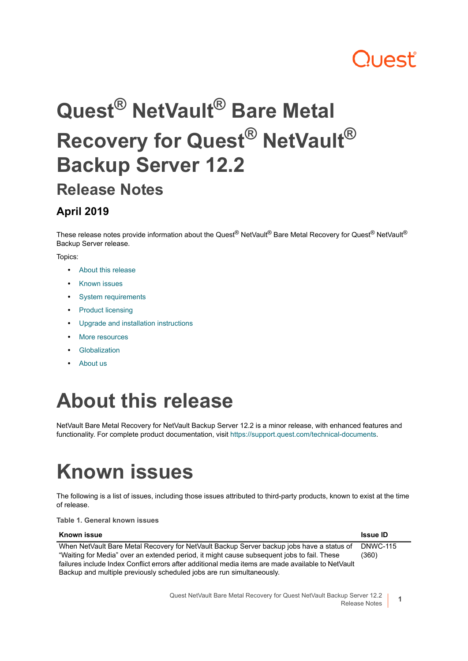# ון **A**shi

# **Quest® NetVault® Bare Metal Recovery for Quest® NetVault® Backup Server 12.2 Release Notes**

#### **April 2019**

These release notes provide information about the Quest® NetVault® Bare Metal Recovery for Quest® NetVault® Backup Server release.

Topics:

- **•** [About this release](#page-0-0)
- **•** [Known issues](#page-0-1)
- **•** [System requirements](#page-1-0)
- **•** [Product licensing](#page-1-1)
- **•** [Upgrade and installation instructions](#page-2-0)
- **•** [More resources](#page-2-1)
- **•** [Globalization](#page-3-0)
- **•** [About us](#page-3-1)

### <span id="page-0-0"></span>**About this release**

NetVault Bare Metal Recovery for NetVault Backup Server 12.2 is a minor release, with enhanced features and functionality. For complete product documentation, visit [https://support.quest.com/technical-documents.](https://support.quest.com/technical-documents)

### <span id="page-0-1"></span>**Known issues**

The following is a list of issues, including those issues attributed to third-party products, known to exist at the time of release.

**Table 1. General known issues**

| Known issue                                                                                        | <b>Issue ID</b> |
|----------------------------------------------------------------------------------------------------|-----------------|
| When NetVault Bare Metal Recovery for NetVault Backup Server backup jobs have a status of          | <b>DNWC-115</b> |
| "Waiting for Media" over an extended period, it might cause subsequent jobs to fail. These         | (360)           |
| failures include Index Conflict errors after additional media items are made available to NetVault |                 |
| Backup and multiple previously scheduled jobs are run simultaneously.                              |                 |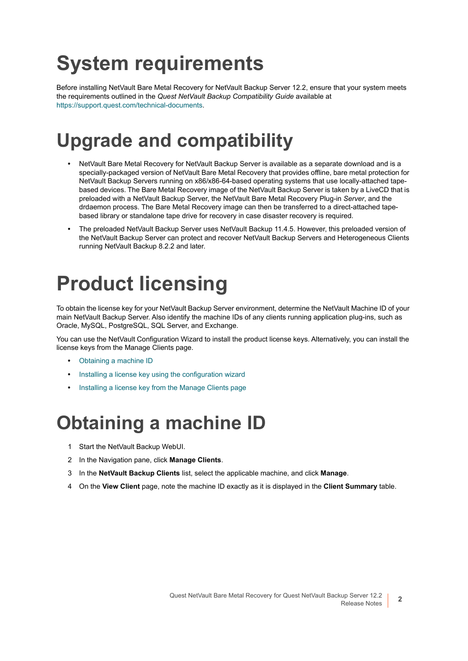# <span id="page-1-0"></span>**System requirements**

Before installing NetVault Bare Metal Recovery for NetVault Backup Server 12.2, ensure that your system meets the requirements outlined in the *Quest NetVault Backup Compatibility Guide* available at [https://support.quest.com/technical-documents.](https://support.quest.com/technical-documents)

#### **Upgrade and compatibility**

- **•** NetVault Bare Metal Recovery for NetVault Backup Server is available as a separate download and is a specially-packaged version of NetVault Bare Metal Recovery that provides offline, bare metal protection for NetVault Backup Servers running on x86/x86-64-based operating systems that use locally-attached tapebased devices. The Bare Metal Recovery image of the NetVault Backup Server is taken by a LiveCD that is preloaded with a NetVault Backup Server, the NetVault Bare Metal Recovery Plug-in *Server*, and the drdaemon process. The Bare Metal Recovery image can then be transferred to a direct-attached tapebased library or standalone tape drive for recovery in case disaster recovery is required.
- **•** The preloaded NetVault Backup Server uses NetVault Backup 11.4.5. However, this preloaded version of the NetVault Backup Server can protect and recover NetVault Backup Servers and Heterogeneous Clients running NetVault Backup 8.2.2 and later.

### <span id="page-1-1"></span>**Product licensing**

To obtain the license key for your NetVault Backup Server environment, determine the NetVault Machine ID of your main NetVault Backup Server. Also identify the machine IDs of any clients running application plug-ins, such as Oracle, MySQL, PostgreSQL, SQL Server, and Exchange.

You can use the NetVault Configuration Wizard to install the product license keys. Alternatively, you can install the license keys from the Manage Clients page.

- **•** [Obtaining a machine ID](#page-1-2)
- **•** [Installing a license key using the configuration wizard](#page-2-2)
- **•** [Installing a license key from the Manage Clients page](#page-2-3)

#### <span id="page-1-2"></span>**Obtaining a machine ID**

- 1 Start the NetVault Backup WebUI.
- 2 In the Navigation pane, click **Manage Clients**.
- 3 In the **NetVault Backup Clients** list, select the applicable machine, and click **Manage**.
- 4 On the **View Client** page, note the machine ID exactly as it is displayed in the **Client Summary** table.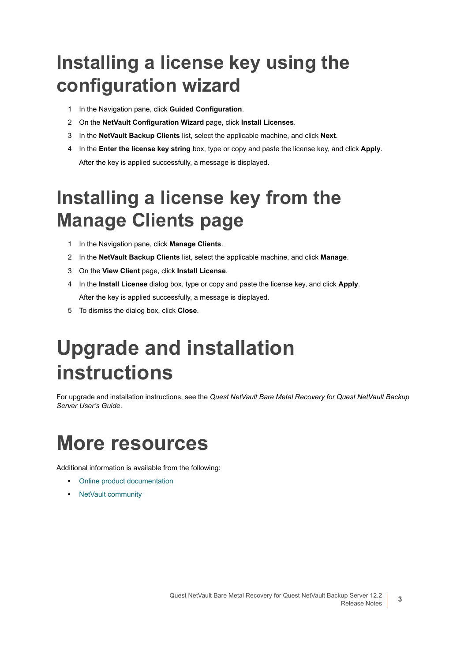#### <span id="page-2-2"></span>**Installing a license key using the configuration wizard**

- 1 In the Navigation pane, click **Guided Configuration**.
- 2 On the **NetVault Configuration Wizard** page, click **Install Licenses**.
- 3 In the **NetVault Backup Clients** list, select the applicable machine, and click **Next**.
- 4 In the **Enter the license key string** box, type or copy and paste the license key, and click **Apply**. After the key is applied successfully, a message is displayed.

### <span id="page-2-3"></span>**Installing a license key from the Manage Clients page**

- 1 In the Navigation pane, click **Manage Clients**.
- 2 In the **NetVault Backup Clients** list, select the applicable machine, and click **Manage**.
- 3 On the **View Client** page, click **Install License**.
- 4 In the **Install License** dialog box, type or copy and paste the license key, and click **Apply**. After the key is applied successfully, a message is displayed.
- 5 To dismiss the dialog box, click **Close**.

### <span id="page-2-0"></span>**Upgrade and installation instructions**

For upgrade and installation instructions, see the *Quest NetVault Bare Metal Recovery for Quest NetVault Backup Server User's Guide*.

#### <span id="page-2-1"></span>**More resources**

Additional information is available from the following:

- **•** [Online product documentation](https://support.quest.com/technical-documents/)
- **•** [NetVault community](https://www.quest.com/community/products/netvault/)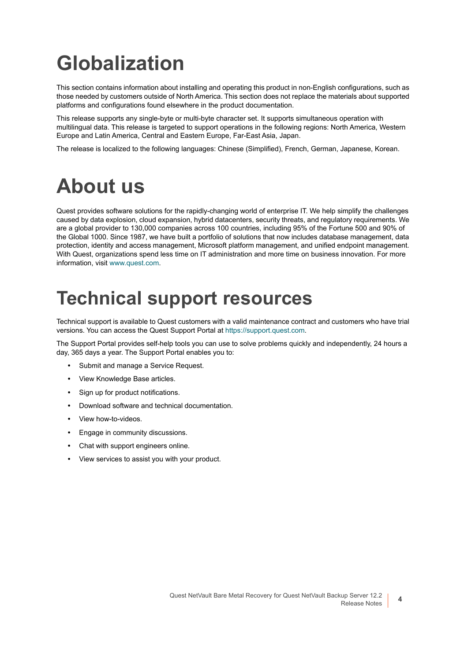# <span id="page-3-0"></span>**Globalization**

This section contains information about installing and operating this product in non-English configurations, such as those needed by customers outside of North America. This section does not replace the materials about supported platforms and configurations found elsewhere in the product documentation.

This release supports any single-byte or multi-byte character set. It supports simultaneous operation with multilingual data. This release is targeted to support operations in the following regions: North America, Western Europe and Latin America, Central and Eastern Europe, Far-East Asia, Japan.

The release is localized to the following languages: Chinese (Simplified), French, German, Japanese, Korean.

#### <span id="page-3-1"></span>**About us**

Quest provides software solutions for the rapidly-changing world of enterprise IT. We help simplify the challenges caused by data explosion, cloud expansion, hybrid datacenters, security threats, and regulatory requirements. We are a global provider to 130,000 companies across 100 countries, including 95% of the Fortune 500 and 90% of the Global 1000. Since 1987, we have built a portfolio of solutions that now includes database management, data protection, identity and access management, Microsoft platform management, and unified endpoint management. With Quest, organizations spend less time on IT administration and more time on business innovation. For more information, visit [www.quest.com](https://www.quest.com/company/contact-us.aspx).

#### **Technical support resources**

Technical support is available to Quest customers with a valid maintenance contract and customers who have trial versions. You can access the Quest Support Portal at [https://support.quest.com.](https://support.quest.com)

The Support Portal provides self-help tools you can use to solve problems quickly and independently, 24 hours a day, 365 days a year. The Support Portal enables you to:

- **•** Submit and manage a Service Request.
- **•** View Knowledge Base articles.
- **•** Sign up for product notifications.
- **•** Download software and technical documentation.
- **•** View how-to-videos.
- **•** Engage in community discussions.
- **•** Chat with support engineers online.
- **•** View services to assist you with your product.